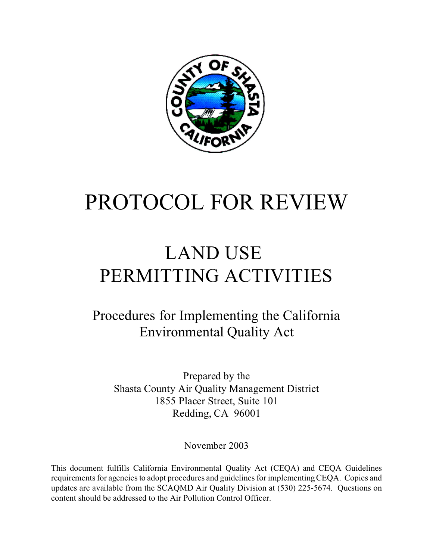

# PROTOCOL FOR REVIEW

# LAND USE PERMITTING ACTIVITIES

Procedures for Implementing the California Environmental Quality Act

Prepared by the Shasta County Air Quality Management District 1855 Placer Street, Suite 101 Redding, CA 96001

November 2003

This document fulfills California Environmental Quality Act (CEQA) and CEQA Guidelines requirements for agencies to adopt procedures and guidelines for implementing CEQA. Copies and updates are available from the SCAQMD Air Quality Division at (530) 225-5674. Questions on content should be addressed to the Air Pollution Control Officer.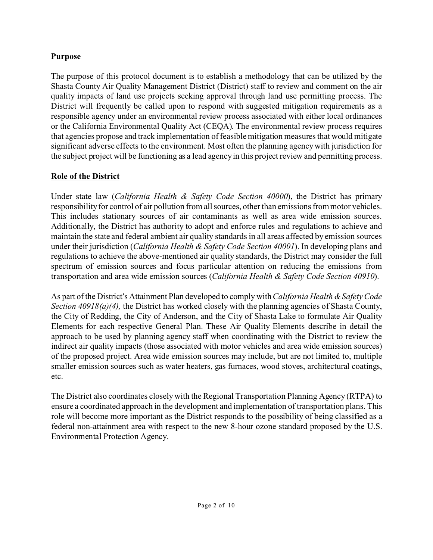#### **Purpose**

The purpose of this protocol document is to establish a methodology that can be utilized by the Shasta County Air Quality Management District (District) staff to review and comment on the air quality impacts of land use projects seeking approval through land use permitting process. The District will frequently be called upon to respond with suggested mitigation requirements as a responsible agency under an environmental review process associated with either local ordinances or the California Environmental Quality Act (CEQA). The environmental review process requires that agencies propose and track implementation of feasible mitigation measures that would mitigate significant adverse effects to the environment. Most often the planning agency with jurisdiction for the subject project will be functioning as a lead agency in this project review and permitting process.

# **Role of the District**

Under state law (*California Health & Safety Code Section 40000*), the District has primary responsibility for control of air pollution from all sources, other than emissions from motor vehicles. This includes stationary sources of air contaminants as well as area wide emission sources. Additionally, the District has authority to adopt and enforce rules and regulations to achieve and maintain the state and federal ambient air quality standards in all areas affected by emission sources under their jurisdiction (*California Health & Safety Code Section 40001*). In developing plans and regulations to achieve the above-mentioned air quality standards, the District may consider the full spectrum of emission sources and focus particular attention on reducing the emissions from transportation and area wide emission sources (*California Health & Safety Code Section 40910*).

As part of the District's Attainment Plan developed to comply with *California Health & Safety Code Section 40918(a)(4),* the District has worked closely with the planning agencies of Shasta County, the City of Redding, the City of Anderson, and the City of Shasta Lake to formulate Air Quality Elements for each respective General Plan. These Air Quality Elements describe in detail the approach to be used by planning agency staff when coordinating with the District to review the indirect air quality impacts (those associated with motor vehicles and area wide emission sources) of the proposed project. Area wide emission sources may include, but are not limited to, multiple smaller emission sources such as water heaters, gas furnaces, wood stoves, architectural coatings, etc.

The District also coordinates closely with the Regional Transportation Planning Agency (RTPA) to ensure a coordinated approach in the development and implementation of transportation plans. This role will become more important as the District responds to the possibility of being classified as a federal non-attainment area with respect to the new 8-hour ozone standard proposed by the U.S. Environmental Protection Agency.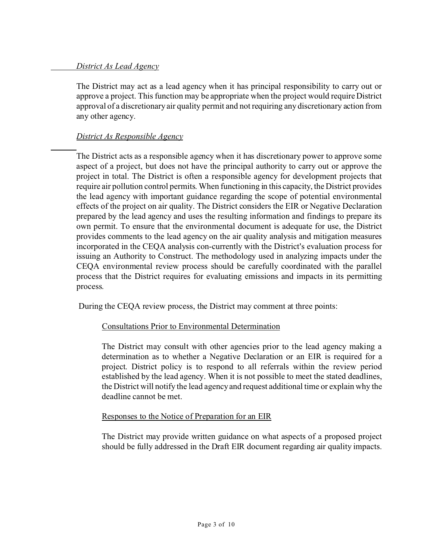#### *District As Lead Agency*

The District may act as a lead agency when it has principal responsibility to carry out or approve a project. This function may be appropriate when the project would require District approval of a discretionary air quality permit and not requiring any discretionary action from any other agency.

# *District As Responsible Agency*

The District acts as a responsible agency when it has discretionary power to approve some aspect of a project, but does not have the principal authority to carry out or approve the project in total. The District is often a responsible agency for development projects that require air pollution control permits. When functioning in this capacity, the District provides the lead agency with important guidance regarding the scope of potential environmental effects of the project on air quality. The District considers the EIR or Negative Declaration prepared by the lead agency and uses the resulting information and findings to prepare its own permit. To ensure that the environmental document is adequate for use, the District provides comments to the lead agency on the air quality analysis and mitigation measures incorporated in the CEQA analysis con-currently with the District's evaluation process for issuing an Authority to Construct. The methodology used in analyzing impacts under the CEQA environmental review process should be carefully coordinated with the parallel process that the District requires for evaluating emissions and impacts in its permitting process.

During the CEQA review process, the District may comment at three points:

# Consultations Prior to Environmental Determination

The District may consult with other agencies prior to the lead agency making a determination as to whether a Negative Declaration or an EIR is required for a project. District policy is to respond to all referrals within the review period established by the lead agency. When it is not possible to meet the stated deadlines, the District will notify the lead agency and request additional time or explain why the deadline cannot be met.

# Responses to the Notice of Preparation for an EIR

The District may provide written guidance on what aspects of a proposed project should be fully addressed in the Draft EIR document regarding air quality impacts.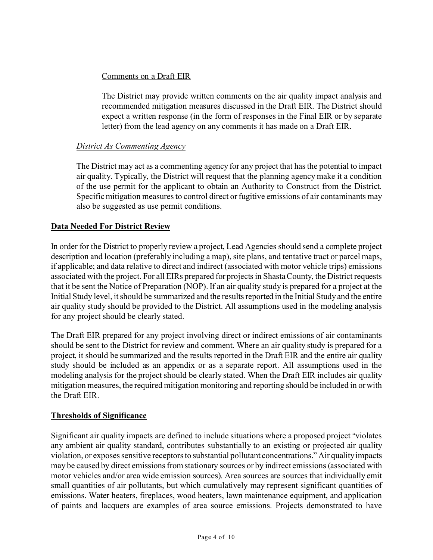#### Comments on a Draft EIR

The District may provide written comments on the air quality impact analysis and recommended mitigation measures discussed in the Draft EIR. The District should expect a written response (in the form of responses in the Final EIR or by separate letter) from the lead agency on any comments it has made on a Draft EIR.

#### *District As Commenting Agency*

The District may act as a commenting agency for any project that has the potential to impact air quality. Typically, the District will request that the planning agency make it a condition of the use permit for the applicant to obtain an Authority to Construct from the District. Specific mitigation measures to control direct or fugitive emissions of air contaminants may also be suggested as use permit conditions.

#### **Data Needed For District Review**

In order for the District to properly review a project, Lead Agencies should send a complete project description and location (preferably including a map), site plans, and tentative tract or parcel maps, if applicable; and data relative to direct and indirect (associated with motor vehicle trips) emissions associated with the project. For all EIRs prepared for projects in Shasta County, the District requests that it be sent the Notice of Preparation (NOP). If an air quality study is prepared for a project at the Initial Study level, it should be summarized and the results reported in the Initial Study and the entire air quality study should be provided to the District. All assumptions used in the modeling analysis for any project should be clearly stated.

The Draft EIR prepared for any project involving direct or indirect emissions of air contaminants should be sent to the District for review and comment. Where an air quality study is prepared for a project, it should be summarized and the results reported in the Draft EIR and the entire air quality study should be included as an appendix or as a separate report. All assumptions used in the modeling analysis for the project should be clearly stated. When the Draft EIR includes air quality mitigation measures, the required mitigation monitoring and reporting should be included in or with the Draft EIR.

#### **Thresholds of Significance**

Significant air quality impacts are defined to include situations where a proposed project "violates" any ambient air quality standard, contributes substantially to an existing or projected air quality violation, or exposes sensitive receptors to substantial pollutant concentrations." Air quality impacts may be caused by direct emissions from stationary sources or by indirect emissions (associated with motor vehicles and/or area wide emission sources). Area sources are sources that individually emit small quantities of air pollutants, but which cumulatively may represent significant quantities of emissions. Water heaters, fireplaces, wood heaters, lawn maintenance equipment, and application of paints and lacquers are examples of area source emissions. Projects demonstrated to have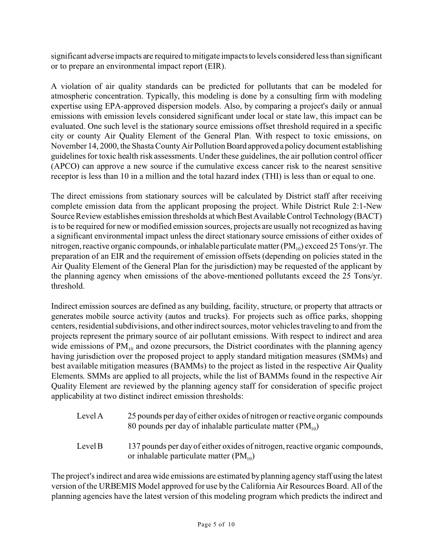significant adverse impacts are required to mitigate impacts to levels considered less than significant or to prepare an environmental impact report (EIR).

A violation of air quality standards can be predicted for pollutants that can be modeled for atmospheric concentration. Typically, this modeling is done by a consulting firm with modeling expertise using EPA-approved dispersion models. Also, by comparing a project's daily or annual emissions with emission levels considered significant under local or state law, this impact can be evaluated. One such level is the stationary source emissions offset threshold required in a specific city or county Air Quality Element of the General Plan. With respect to toxic emissions, on November 14, 2000, the Shasta County Air Pollution Board approved a policy document establishing guidelines for toxic health risk assessments. Under these guidelines, the air pollution control officer (APCO) can approve a new source if the cumulative excess cancer risk to the nearest sensitive receptor is less than 10 in a million and the total hazard index (THI) is less than or equal to one.

The direct emissions from stationary sources will be calculated by District staff after receiving complete emission data from the applicant proposing the project. While District Rule 2:1-New Source Review establishes emission thresholds at which Best Available Control Technology (BACT) is to be required for new or modified emission sources, projects are usually not recognized as having a significant environmental impact unless the direct stationary source emissions of either oxides of nitrogen, reactive organic compounds, or inhalable particulate matter  $(PM_{10})$  exceed 25 Tons/yr. The preparation of an EIR and the requirement of emission offsets (depending on policies stated in the Air Quality Element of the General Plan for the jurisdiction) may be requested of the applicant by the planning agency when emissions of the above-mentioned pollutants exceed the 25 Tons/yr. threshold.

Indirect emission sources are defined as any building, facility, structure, or property that attracts or generates mobile source activity (autos and trucks). For projects such as office parks, shopping centers, residential subdivisions, and other indirect sources, motor vehicles traveling to and from the projects represent the primary source of air pollutant emissions. With respect to indirect and area wide emissions of  $PM_{10}$  and ozone precursors, the District coordinates with the planning agency having jurisdiction over the proposed project to apply standard mitigation measures (SMMs) and best available mitigation measures (BAMMs) to the project as listed in the respective Air Quality Elements. SMMs are applied to all projects, while the list of BAMMs found in the respective Air Quality Element are reviewed by the planning agency staff for consideration of specific project applicability at two distinct indirect emission thresholds:

- Level A 25 pounds per day of either oxides of nitrogen or reactive organic compounds 80 pounds per day of inhalable particulate matter  $(PM_{10})$
- Level B 137 pounds per day of either oxides of nitrogen, reactive organic compounds, or inhalable particulate matter  $(PM_{10})$

The project's indirect and area wide emissions are estimated by planning agency staff using the latest version of the URBEMIS Model approved for use by the California Air Resources Board. All of the planning agencies have the latest version of this modeling program which predicts the indirect and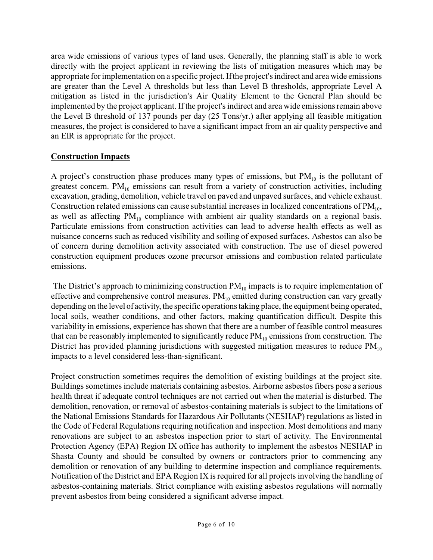area wide emissions of various types of land uses. Generally, the planning staff is able to work directly with the project applicant in reviewing the lists of mitigation measures which may be appropriate for implementation on a specific project. If the project's indirect and area wide emissions are greater than the Level A thresholds but less than Level B thresholds, appropriate Level A mitigation as listed in the jurisdiction's Air Quality Element to the General Plan should be implemented by the project applicant. If the project's indirect and area wide emissions remain above the Level B threshold of 137 pounds per day (25 Tons/yr.) after applying all feasible mitigation measures, the project is considered to have a significant impact from an air quality perspective and an EIR is appropriate for the project.

#### **Construction Impacts**

A project's construction phase produces many types of emissions, but  $PM_{10}$  is the pollutant of greatest concern.  $PM_{10}$  emissions can result from a variety of construction activities, including excavation, grading, demolition, vehicle travel on paved and unpaved surfaces, and vehicle exhaust. Construction related emissions can cause substantial increases in localized concentrations of  $PM_{10}$ , as well as affecting  $PM_{10}$  compliance with ambient air quality standards on a regional basis. Particulate emissions from construction activities can lead to adverse health effects as well as nuisance concerns such as reduced visibility and soiling of exposed surfaces. Asbestos can also be of concern during demolition activity associated with construction. The use of diesel powered construction equipment produces ozone precursor emissions and combustion related particulate emissions.

The District's approach to minimizing construction  $PM_{10}$  impacts is to require implementation of effective and comprehensive control measures.  $PM_{10}$  emitted during construction can vary greatly depending on the level of activity, the specific operations taking place, the equipment being operated, local soils, weather conditions, and other factors, making quantification difficult. Despite this variability in emissions, experience has shown that there are a number of feasible control measures that can be reasonably implemented to significantly reduce  $PM_{10}$  emissions from construction. The District has provided planning jurisdictions with suggested mitigation measures to reduce  $PM_{10}$ impacts to a level considered less-than-significant.

Project construction sometimes requires the demolition of existing buildings at the project site. Buildings sometimes include materials containing asbestos. Airborne asbestos fibers pose a serious health threat if adequate control techniques are not carried out when the material is disturbed. The demolition, renovation, or removal of asbestos-containing materials is subject to the limitations of the National Emissions Standards for Hazardous Air Pollutants (NESHAP) regulations as listed in the Code of Federal Regulations requiring notification and inspection. Most demolitions and many renovations are subject to an asbestos inspection prior to start of activity. The Environmental Protection Agency (EPA) Region IX office has authority to implement the asbestos NESHAP in Shasta County and should be consulted by owners or contractors prior to commencing any demolition or renovation of any building to determine inspection and compliance requirements. Notification of the District and EPA Region IX is required for all projects involving the handling of asbestos-containing materials. Strict compliance with existing asbestos regulations will normally prevent asbestos from being considered a significant adverse impact.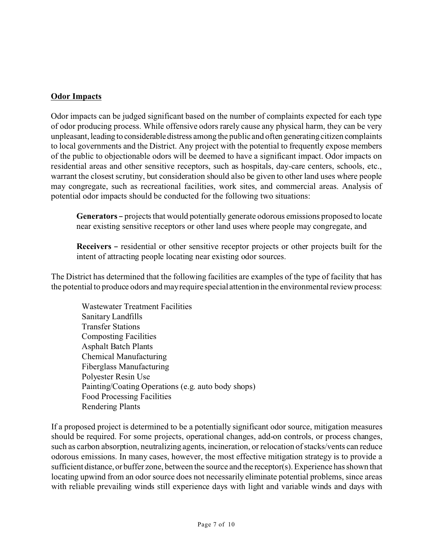#### **Odor Impacts**

Odor impacts can be judged significant based on the number of complaints expected for each type of odor producing process. While offensive odors rarely cause any physical harm, they can be very unpleasant, leading to considerabledistress among the public and often generating citizen complaints to local governments and the District. Any project with the potential to frequently expose members of the public to objectionable odors will be deemed to have a significant impact. Odor impacts on residential areas and other sensitive receptors, such as hospitals, day-care centers, schools, etc., warrant the closest scrutiny, but consideration should also be given to other land uses where people may congregate, such as recreational facilities, work sites, and commercial areas. Analysis of potential odor impacts should be conducted for the following two situations:

**Generators** – projects that would potentially generate odorous emissions proposed to locate near existing sensitive receptors or other land uses where people may congregate, and

**Receivers** – residential or other sensitive receptor projects or other projects built for the intent of attracting people locating near existing odor sources.

The District has determined that the following facilities are examples of the type of facility that has the potential to produce odors and may require special attention in the environmental review process:

Wastewater Treatment Facilities Sanitary Landfills Transfer Stations Composting Facilities Asphalt Batch Plants Chemical Manufacturing Fiberglass Manufacturing Polyester Resin Use Painting/Coating Operations (e.g. auto body shops) Food Processing Facilities Rendering Plants

If a proposed project is determined to be a potentially significant odor source, mitigation measures should be required. For some projects, operational changes, add-on controls, or process changes, such as carbon absorption, neutralizing agents, incineration, or relocation of stacks/vents can reduce odorous emissions. In many cases, however, the most effective mitigation strategy is to provide a sufficient distance, or buffer zone, between the source and the receptor(s). Experience has shown that locating upwind from an odor source does not necessarily eliminate potential problems, since areas with reliable prevailing winds still experience days with light and variable winds and days with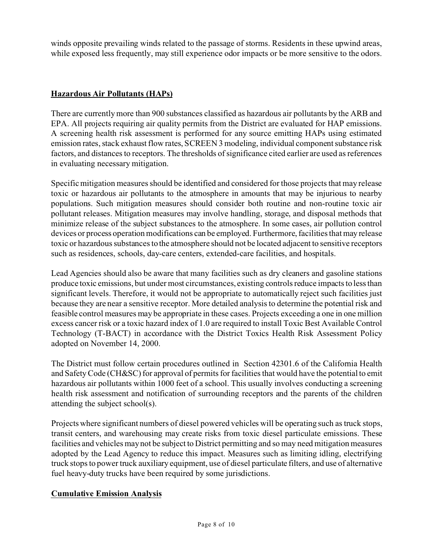winds opposite prevailing winds related to the passage of storms. Residents in these upwind areas, while exposed less frequently, may still experience odor impacts or be more sensitive to the odors.

#### **Hazardous Air Pollutants (HAPs)**

There are currently more than 900 substances classified as hazardous air pollutants by the ARB and EPA. All projects requiring air quality permits from the District are evaluated for HAP emissions. A screening health risk assessment is performed for any source emitting HAPs using estimated emission rates, stack exhaust flow rates, SCREEN 3 modeling, individual component substance risk factors, and distances to receptors. The thresholds of significance cited earlier are used as references in evaluating necessary mitigation.

Specific mitigation measures should be identified and considered for those projects that may release toxic or hazardous air pollutants to the atmosphere in amounts that may be injurious to nearby populations. Such mitigation measures should consider both routine and non-routine toxic air pollutant releases. Mitigation measures may involve handling, storage, and disposal methods that minimize release of the subject substances to the atmosphere. In some cases, air pollution control devices or process operation modifications can be employed. Furthermore, facilities that may release toxic or hazardous substances to the atmosphere should not be located adjacent to sensitive receptors such as residences, schools, day-care centers, extended-care facilities, and hospitals.

Lead Agencies should also be aware that many facilities such as dry cleaners and gasoline stations produce toxic emissions, but under most circumstances, existing controls reduce impacts to less than significant levels. Therefore, it would not be appropriate to automatically reject such facilities just because they are near a sensitive receptor. More detailed analysis to determine the potential risk and feasible control measures may be appropriate in these cases. Projects exceeding a one in one million excess cancer risk or a toxic hazard index of 1.0 are required to install Toxic Best Available Control Technology (T-BACT) in accordance with the District Toxics Health Risk Assessment Policy adopted on November 14, 2000.

The District must follow certain procedures outlined in Section 42301.6 of the California Health and Safety Code (CH&SC) for approval of permits for facilities that would have the potential to emit hazardous air pollutants within 1000 feet of a school. This usually involves conducting a screening health risk assessment and notification of surrounding receptors and the parents of the children attending the subject school(s).

Projects where significant numbers of diesel powered vehicles will be operating such as truck stops, transit centers, and warehousing may create risks from toxic diesel particulate emissions. These facilities and vehicles may not be subject to District permitting and so may need mitigation measures adopted by the Lead Agency to reduce this impact. Measures such as limiting idling, electrifying truck stops to power truck auxiliary equipment, use of diesel particulate filters, and use of alternative fuel heavy-duty trucks have been required by some jurisdictions.

#### **Cumulative Emission Analysis**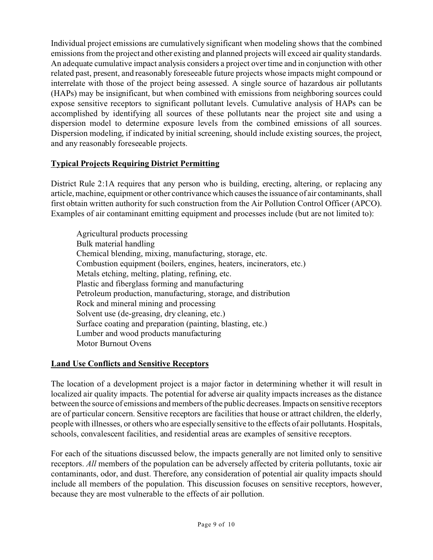Individual project emissions are cumulatively significant when modeling shows that the combined emissions from the project and other existing and planned projects will exceed air quality standards. An adequate cumulative impact analysis considers a project over time and in conjunction with other related past, present, and reasonably foreseeable future projects whose impacts might compound or interrelate with those of the project being assessed. A single source of hazardous air pollutants (HAPs) may be insignificant, but when combined with emissions from neighboring sources could expose sensitive receptors to significant pollutant levels. Cumulative analysis of HAPs can be accomplished by identifying all sources of these pollutants near the project site and using a dispersion model to determine exposure levels from the combined emissions of all sources. Dispersion modeling, if indicated by initial screening, should include existing sources, the project, and any reasonably foreseeable projects.

#### **Typical Projects Requiring District Permitting**

District Rule 2:1A requires that any person who is building, erecting, altering, or replacing any article, machine, equipment or other contrivance which causes the issuance of air contaminants, shall first obtain written authority for such construction from the Air Pollution Control Officer (APCO). Examples of air contaminant emitting equipment and processes include (but are not limited to):

Agricultural products processing Bulk material handling Chemical blending, mixing, manufacturing, storage, etc. Combustion equipment (boilers, engines, heaters, incinerators, etc.) Metals etching, melting, plating, refining, etc. Plastic and fiberglass forming and manufacturing Petroleum production, manufacturing, storage, and distribution Rock and mineral mining and processing Solvent use (de-greasing, dry cleaning, etc.) Surface coating and preparation (painting, blasting, etc.) Lumber and wood products manufacturing Motor Burnout Ovens

# **Land Use Conflicts and Sensitive Receptors**

The location of a development project is a major factor in determining whether it will result in localized air quality impacts. The potential for adverse air quality impacts increases as the distance between the source of emissions and members of the public decreases. Impacts on sensitive receptors are of particular concern. Sensitive receptors are facilities that house or attract children, the elderly, people with illnesses, or others who are especially sensitive to the effects of air pollutants. Hospitals, schools, convalescent facilities, and residential areas are examples of sensitive receptors.

For each of the situations discussed below, the impacts generally are not limited only to sensitive receptors. *All* members of the population can be adversely affected by criteria pollutants, toxic air contaminants, odor, and dust. Therefore, any consideration of potential air quality impacts should include all members of the population. This discussion focuses on sensitive receptors, however, because they are most vulnerable to the effects of air pollution.